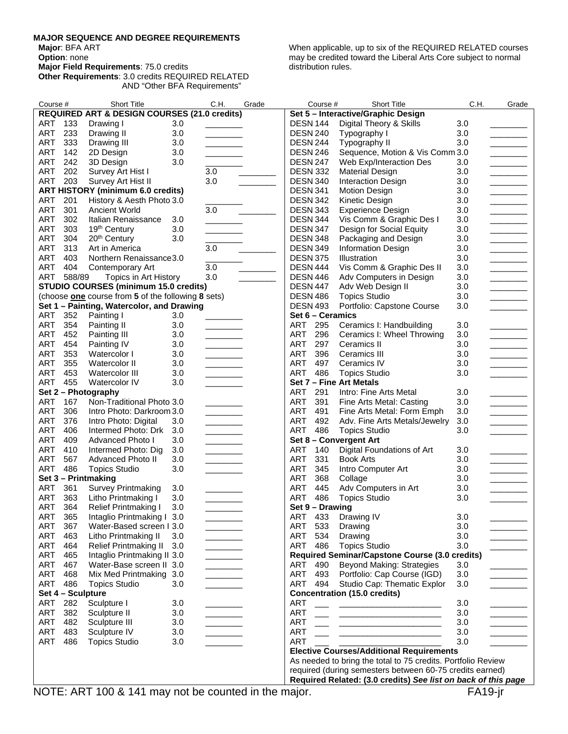## **MAJOR SEQUENCE AND DEGREE REQUIREMENTS**

**Major**: BFA ART

**Option**: none

**Major Field Requirements**: 75.0 credits

When applicable, up to six of the REQUIRED RELATED courses may be credited toward the Liberal Arts Core subject to normal distribution rules.

**Other Requirements**: 3.0 credits REQUIRED RELATED AND "Other BFA Requirements"

| Course #<br><b>Short Title</b>                                                        | C.H.<br>Grade                                                                           | <b>Short Title</b><br>Course #                                      | C.H.       | Grade                                                                                                                                                                                                                                                                                                                                                                                                                                                                        |
|---------------------------------------------------------------------------------------|-----------------------------------------------------------------------------------------|---------------------------------------------------------------------|------------|------------------------------------------------------------------------------------------------------------------------------------------------------------------------------------------------------------------------------------------------------------------------------------------------------------------------------------------------------------------------------------------------------------------------------------------------------------------------------|
| <b>REQUIRED ART &amp; DESIGN COURSES (21.0 credits)</b>                               |                                                                                         | Set 5 - Interactive/Graphic Design                                  |            |                                                                                                                                                                                                                                                                                                                                                                                                                                                                              |
| ART<br>133<br>Drawing I<br>3.0                                                        |                                                                                         | Digital Theory & Skills<br><b>DESN 144</b>                          | 3.0        |                                                                                                                                                                                                                                                                                                                                                                                                                                                                              |
| ART<br>233<br>3.0<br>Drawing II                                                       |                                                                                         | <b>DESN 240</b><br>Typography I                                     | 3.0        |                                                                                                                                                                                                                                                                                                                                                                                                                                                                              |
| <b>ART</b><br>333<br>3.0<br>Drawing III                                               |                                                                                         | Typography II<br><b>DESN 244</b>                                    | 3.0        | <u> De Barbara (Barbara)</u>                                                                                                                                                                                                                                                                                                                                                                                                                                                 |
| ART<br>142<br>3.0<br>2D Design                                                        | $\mathcal{L}^{\text{max}}_{\text{max}}$ , where $\mathcal{L}^{\text{max}}_{\text{max}}$ | <b>DESN 246</b><br>Sequence, Motion & Vis Comm 3.0                  |            | <u>and the company</u>                                                                                                                                                                                                                                                                                                                                                                                                                                                       |
| <b>ART</b><br>242<br>3.0<br>3D Design                                                 |                                                                                         | <b>DESN 247</b><br>Web Exp/Interaction Des                          | 3.0        |                                                                                                                                                                                                                                                                                                                                                                                                                                                                              |
| ART<br>202<br>Survey Art Hist I                                                       | 3.0                                                                                     | <b>DESN 332</b><br><b>Material Design</b>                           | 3.0        |                                                                                                                                                                                                                                                                                                                                                                                                                                                                              |
| ART<br>203<br>Survey Art Hist II                                                      | 3.0                                                                                     | <b>DESN 340</b><br><b>Interaction Design</b>                        | 3.0        |                                                                                                                                                                                                                                                                                                                                                                                                                                                                              |
| <b>ART HISTORY (minimum 6.0 credits)</b>                                              |                                                                                         | <b>DESN 341</b><br><b>Motion Design</b>                             | 3.0        |                                                                                                                                                                                                                                                                                                                                                                                                                                                                              |
| ART<br>201<br>History & Aesth Photo 3.0                                               |                                                                                         | <b>DESN 342</b><br>Kinetic Design                                   | 3.0        | $\frac{1}{2} \left( \frac{1}{2} \right) \left( \frac{1}{2} \right) \left( \frac{1}{2} \right) \left( \frac{1}{2} \right) \left( \frac{1}{2} \right) \left( \frac{1}{2} \right) \left( \frac{1}{2} \right) \left( \frac{1}{2} \right) \left( \frac{1}{2} \right) \left( \frac{1}{2} \right) \left( \frac{1}{2} \right) \left( \frac{1}{2} \right) \left( \frac{1}{2} \right) \left( \frac{1}{2} \right) \left( \frac{1}{2} \right) \left( \frac{1}{2} \right) \left( \frac$   |
| ART<br>301<br><b>Ancient World</b>                                                    | 3.0                                                                                     | <b>DESN 343</b><br><b>Experience Design</b>                         | 3.0        |                                                                                                                                                                                                                                                                                                                                                                                                                                                                              |
| 302<br>ART<br>Italian Renaissance<br>3.0                                              |                                                                                         | <b>DESN 344</b><br>Vis Comm & Graphic Des I                         | 3.0        |                                                                                                                                                                                                                                                                                                                                                                                                                                                                              |
| ART<br>303<br>19 <sup>th</sup> Century<br>3.0                                         |                                                                                         | <b>DESN 347</b><br>Design for Social Equity                         | 3.0        | $\frac{1}{2}$                                                                                                                                                                                                                                                                                                                                                                                                                                                                |
| ART<br>304<br>20 <sup>th</sup> Century<br>3.0                                         |                                                                                         | <b>DESN 348</b><br>Packaging and Design                             | 3.0        | <b>Contract Contract Contract</b>                                                                                                                                                                                                                                                                                                                                                                                                                                            |
| <b>ART</b><br>313<br>Art in America                                                   | 3.0                                                                                     | Information Design<br><b>DESN 349</b>                               | 3.0        | $\overline{\phantom{a}}$ . The contract of $\overline{\phantom{a}}$                                                                                                                                                                                                                                                                                                                                                                                                          |
| ART<br>403<br>Northern Renaissance 3.0                                                |                                                                                         | <b>DESN 375</b><br>Illustration                                     | 3.0        |                                                                                                                                                                                                                                                                                                                                                                                                                                                                              |
| ART<br>404<br>Contemporary Art                                                        | 3.0                                                                                     | <b>DESN 444</b><br>Vis Comm & Graphic Des II                        | 3.0        | $\overline{\phantom{a}}$                                                                                                                                                                                                                                                                                                                                                                                                                                                     |
| ART<br>588/89<br>Topics in Art History                                                | 3.0                                                                                     | <b>DESN 446</b><br>Adv Computers in Design                          | 3.0        | $\frac{1}{2}$                                                                                                                                                                                                                                                                                                                                                                                                                                                                |
| <b>STUDIO COURSES (minimum 15.0 credits)</b>                                          |                                                                                         | Adv Web Design II<br><b>DESN 447</b>                                | 3.0        |                                                                                                                                                                                                                                                                                                                                                                                                                                                                              |
| (choose one course from 5 of the following 8 sets)                                    |                                                                                         | <b>Topics Studio</b><br><b>DESN 486</b>                             | 3.0        |                                                                                                                                                                                                                                                                                                                                                                                                                                                                              |
| Set 1 - Painting, Watercolor, and Drawing                                             |                                                                                         | <b>DESN 493</b><br>Portfolio: Capstone Course                       | 3.0        |                                                                                                                                                                                                                                                                                                                                                                                                                                                                              |
| ART<br>352<br>Painting I<br>3.0                                                       |                                                                                         | Set 6 - Ceramics                                                    |            |                                                                                                                                                                                                                                                                                                                                                                                                                                                                              |
| ART<br>354<br>Painting II<br>3.0                                                      |                                                                                         | ART<br>295<br>Ceramics I: Handbuilding                              | 3.0        |                                                                                                                                                                                                                                                                                                                                                                                                                                                                              |
| ART<br>452<br>3.0<br>Painting III                                                     |                                                                                         | <b>ART</b><br>296<br>Ceramics I: Wheel Throwing                     | 3.0        | $\overline{\phantom{a}}$ . The contract of $\overline{\phantom{a}}$                                                                                                                                                                                                                                                                                                                                                                                                          |
| ART<br>454<br>Painting IV<br>3.0                                                      | <u> 1999 - John Barnett, fransk konge</u>                                               | 297<br><b>ART</b><br>Ceramics II                                    | 3.0        | <b>Contract Contract</b>                                                                                                                                                                                                                                                                                                                                                                                                                                                     |
| <b>ART</b><br>353<br>Watercolor I<br>3.0                                              |                                                                                         | <b>ART</b><br>396<br>Ceramics III                                   | 3.0        |                                                                                                                                                                                                                                                                                                                                                                                                                                                                              |
| ART<br>355<br>3.0<br>Watercolor II                                                    |                                                                                         | <b>ART</b><br>497<br>Ceramics IV                                    | 3.0        | <u> The Community of the Community of the Community of the Community of the Community of the Community of the Community of the Community of the Community of the Community of the Community of the Community of the Community of</u><br><u> The Community of the Community of the Community of the Community of the Community of the Community of the Community of the Community of the Community of the Community of the Community of the Community of the Community of</u> |
| <b>ART</b><br>453<br>3.0<br>Watercolor III                                            |                                                                                         | 486<br>ART<br><b>Topics Studio</b>                                  | 3.0        |                                                                                                                                                                                                                                                                                                                                                                                                                                                                              |
| ART<br>455<br>Watercolor IV<br>3.0                                                    |                                                                                         | Set 7 - Fine Art Metals                                             |            |                                                                                                                                                                                                                                                                                                                                                                                                                                                                              |
| Set 2 - Photography                                                                   |                                                                                         | ART<br>291<br>Intro: Fine Arts Metal                                | 3.0        |                                                                                                                                                                                                                                                                                                                                                                                                                                                                              |
| ART<br>Non-Traditional Photo 3.0<br>167                                               |                                                                                         | <b>ART</b><br>391<br>Fine Arts Metal: Casting                       | 3.0        |                                                                                                                                                                                                                                                                                                                                                                                                                                                                              |
| ART<br>306<br>Intro Photo: Darkroom 3.0                                               |                                                                                         | <b>ART</b><br>491<br>Fine Arts Metal: Form Emph                     | 3.0        |                                                                                                                                                                                                                                                                                                                                                                                                                                                                              |
| <b>ART</b><br>376<br>Intro Photo: Digital<br>3.0                                      |                                                                                         | 492<br><b>ART</b><br>Adv. Fine Arts Metals/Jewelry                  | 3.0        | ____________                                                                                                                                                                                                                                                                                                                                                                                                                                                                 |
| <b>ART</b><br>406<br>Intermed Photo: Drk<br>3.0                                       | <u> Liberatura de la p</u>                                                              | ART<br>486<br><b>Topics Studio</b>                                  | 3.0        |                                                                                                                                                                                                                                                                                                                                                                                                                                                                              |
| <b>ART</b><br>409<br>Advanced Photo I<br>3.0                                          |                                                                                         | Set 8 - Convergent Art                                              |            |                                                                                                                                                                                                                                                                                                                                                                                                                                                                              |
| <b>ART</b><br>410<br>$3.0\,$<br>Intermed Photo: Dig                                   |                                                                                         | <b>ART</b><br>140<br>Digital Foundations of Art                     | 3.0        |                                                                                                                                                                                                                                                                                                                                                                                                                                                                              |
| ART<br>567<br><b>Advanced Photo II</b><br>3.0                                         |                                                                                         | <b>ART</b><br>331<br><b>Book Arts</b>                               | 3.0        |                                                                                                                                                                                                                                                                                                                                                                                                                                                                              |
| ART<br>486<br><b>Topics Studio</b><br>3.0                                             |                                                                                         | <b>ART</b><br>345<br>Intro Computer Art                             | 3.0        |                                                                                                                                                                                                                                                                                                                                                                                                                                                                              |
| Set 3 - Printmaking                                                                   |                                                                                         | <b>ART</b><br>368<br>Collage                                        | 3.0        |                                                                                                                                                                                                                                                                                                                                                                                                                                                                              |
| 361<br>ART<br>3.0                                                                     |                                                                                         | <b>ART</b><br>445<br>Adv Computers in Art                           |            |                                                                                                                                                                                                                                                                                                                                                                                                                                                                              |
| <b>Survey Printmaking</b><br><b>ART</b><br>363<br>3.0                                 |                                                                                         | 486<br>ART                                                          | 3.0<br>3.0 |                                                                                                                                                                                                                                                                                                                                                                                                                                                                              |
| Litho Printmaking I                                                                   |                                                                                         | <b>Topics Studio</b><br>Set 9 - Drawing                             |            |                                                                                                                                                                                                                                                                                                                                                                                                                                                                              |
| ART<br>364<br>Relief Printmaking I<br>3.0<br>ART<br>365<br>Intaglio Printmaking I 3.0 |                                                                                         | ART 433                                                             |            |                                                                                                                                                                                                                                                                                                                                                                                                                                                                              |
|                                                                                       |                                                                                         | Drawing IV                                                          | 3.0        |                                                                                                                                                                                                                                                                                                                                                                                                                                                                              |
| ART<br>367<br>Water-Based screen I 3.0                                                |                                                                                         | ART 533<br>Drawing                                                  | 3.0        |                                                                                                                                                                                                                                                                                                                                                                                                                                                                              |
| ART<br>463<br>Litho Printmaking II<br>3.0                                             | $\mathcal{L}^{\text{max}}$ , where $\mathcal{L}^{\text{max}}$                           | ART<br>534<br>Drawing                                               | 3.0        |                                                                                                                                                                                                                                                                                                                                                                                                                                                                              |
| ART<br>464<br><b>Relief Printmaking II</b><br>3.0                                     |                                                                                         | <b>ART</b><br>486<br><b>Topics Studio</b>                           | 3.0        |                                                                                                                                                                                                                                                                                                                                                                                                                                                                              |
| ART<br>Intaglio Printmaking II 3.0<br>465                                             |                                                                                         | Required Seminar/Capstone Course (3.0 credits)                      |            |                                                                                                                                                                                                                                                                                                                                                                                                                                                                              |
| ART<br>Water-Base screen II 3.0<br>467                                                |                                                                                         | <b>Beyond Making: Strategies</b><br>ART<br>490                      | 3.0        |                                                                                                                                                                                                                                                                                                                                                                                                                                                                              |
| ART<br>468<br>Mix Med Printmaking 3.0                                                 |                                                                                         | ART<br>493<br>Portfolio: Cap Course (IGD)                           | 3.0        |                                                                                                                                                                                                                                                                                                                                                                                                                                                                              |
| ART<br>486<br><b>Topics Studio</b><br>3.0                                             | the company of the company                                                              | ART 494<br>Studio Cap: Thematic Explor                              | 3.0        |                                                                                                                                                                                                                                                                                                                                                                                                                                                                              |
| Set 4 - Sculpture                                                                     |                                                                                         | <b>Concentration (15.0 credits)</b>                                 |            |                                                                                                                                                                                                                                                                                                                                                                                                                                                                              |
| ART<br>282<br>Sculpture I<br>3.0                                                      |                                                                                         | <b>ART</b>                                                          | 3.0        |                                                                                                                                                                                                                                                                                                                                                                                                                                                                              |
| ART<br>382<br>Sculpture II<br>3.0                                                     |                                                                                         | <b>ART</b>                                                          | 3.0        |                                                                                                                                                                                                                                                                                                                                                                                                                                                                              |
| ART<br>482<br>Sculpture III<br>3.0                                                    |                                                                                         | <b>ART</b><br><u> 2002</u> - <u>2003 - 2003 - 2003 - 2004 - 200</u> | 3.0        | <u> Liberal Communication</u>                                                                                                                                                                                                                                                                                                                                                                                                                                                |
| ART<br>Sculpture IV<br>483<br>3.0                                                     | <b>Contract Contract</b>                                                                | <b>ART</b><br><u> 1980 - Antonio Alemania, prima popula</u>         | 3.0        | $\label{eq:2.1} \frac{1}{\sqrt{2}}\int_{\mathbb{R}^3}\frac{1}{\sqrt{2}}\left(\frac{1}{\sqrt{2}}\right)^2\left(\frac{1}{\sqrt{2}}\right)^2\left(\frac{1}{\sqrt{2}}\right)^2\left(\frac{1}{\sqrt{2}}\right)^2\left(\frac{1}{\sqrt{2}}\right)^2.$                                                                                                                                                                                                                               |
| ART<br><b>Topics Studio</b><br>486<br>3.0                                             |                                                                                         | <b>ART</b>                                                          | 3.0        |                                                                                                                                                                                                                                                                                                                                                                                                                                                                              |
|                                                                                       |                                                                                         | <b>Elective Courses/Additional Requirements</b>                     |            |                                                                                                                                                                                                                                                                                                                                                                                                                                                                              |
|                                                                                       |                                                                                         | As needed to bring the total to 75 credits. Portfolio Review        |            |                                                                                                                                                                                                                                                                                                                                                                                                                                                                              |
|                                                                                       |                                                                                         | required (during semesters between 60-75 credits earned)            |            |                                                                                                                                                                                                                                                                                                                                                                                                                                                                              |
|                                                                                       |                                                                                         | Required Related: (3.0 credits) See list on back of this page       |            |                                                                                                                                                                                                                                                                                                                                                                                                                                                                              |

NOTE: ART 100 & 141 may not be counted in the major. FA19-jr